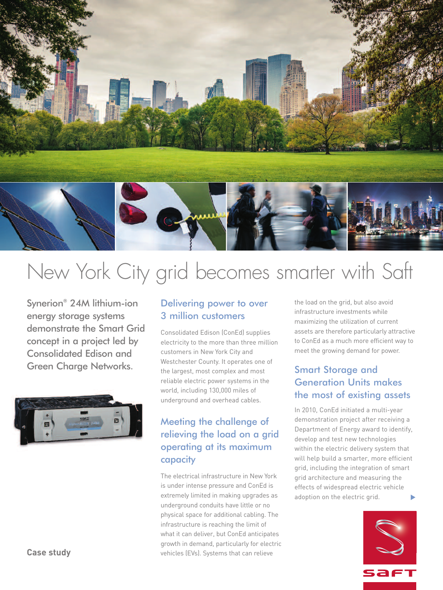

# New York City grid becomes smarter with Saft

Synerion® 24M lithium-ion energy storage systems demonstrate the Smart Grid concept in a project led by Consolidated Edison and Green Charge Networks.



#### Delivering power to over 3 million customers

Consolidated Edison (ConEd) supplies electricity to the more than three million customers in New York City and Westchester County. It operates one of the largest, most complex and most reliable electric power systems in the world, including 130,000 miles of underground and overhead cables.

## Meeting the challenge of relieving the load on a grid operating at its maximum capacity

The electrical infrastructure in New York is under intense pressure and ConEd is extremely limited in making upgrades as underground conduits have little or no physical space for additional cabling. The infrastructure is reaching the limit of what it can deliver, but ConEd anticipates growth in demand, particularly for electric vehicles (EVs). Systems that can relieve

the load on the grid, but also avoid infrastructure investments while maximizing the utilization of current assets are therefore particularly attractive to ConEd as a much more efficient way to meet the growing demand for power.

# Smart Storage and Generation Units makes the most of existing assets

In 2010, ConEd initiated a multi-year demonstration project after receiving a Department of Energy award to identify, develop and test new technologies within the electric delivery system that will help build a smarter, more efficient grid, including the integration of smart grid architecture and measuring the effects of widespread electric vehicle adoption on the electric grid. **▼**



**Case study**